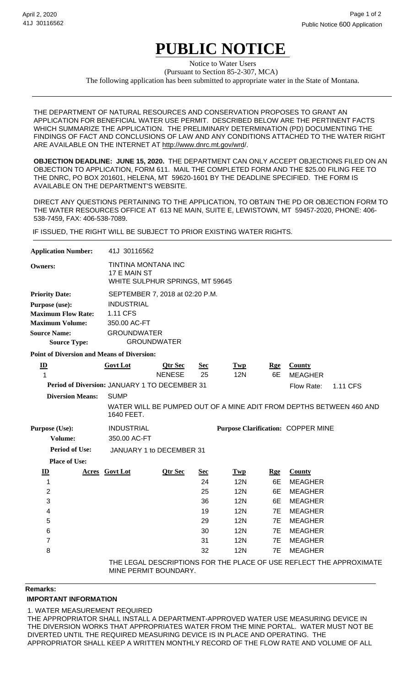## **PUBLIC NOTICE**

(Pursuant to Section 85-2-307, MCA) Notice to Water Users The following application has been submitted to appropriate water in the State of Montana.

THE DEPARTMENT OF NATURAL RESOURCES AND CONSERVATION PROPOSES TO GRANT AN APPLICATION FOR BENEFICIAL WATER USE PERMIT. DESCRIBED BELOW ARE THE PERTINENT FACTS WHICH SUMMARIZE THE APPLICATION. THE PRELIMINARY DETERMINATION (PD) DOCUMENTING THE FINDINGS OF FACT AND CONCLUSIONS OF LAW AND ANY CONDITIONS ATTACHED TO THE WATER RIGHT ARE AVAILABLE ON THE INTERNET AT http://www.dnrc.mt.gov/wrd/.

**OBJECTION DEADLINE: JUNE 15, 2020.** THE DEPARTMENT CAN ONLY ACCEPT OBJECTIONS FILED ON AN OBJECTION TO APPLICATION, FORM 611. MAIL THE COMPLETED FORM AND THE \$25.00 FILING FEE TO THE DNRC, PO BOX 201601, HELENA, MT 59620-1601 BY THE DEADLINE SPECIFIED. THE FORM IS AVAILABLE ON THE DEPARTMENT'S WEBSITE.

DIRECT ANY QUESTIONS PERTAINING TO THE APPLICATION, TO OBTAIN THE PD OR OBJECTION FORM TO THE WATER RESOURCES OFFICE AT 613 NE MAIN, SUITE E, LEWISTOWN, MT 59457-2020, PHONE: 406- 538-7459, FAX: 406-538-7089.

IF ISSUED, THE RIGHT WILL BE SUBJECT TO PRIOR EXISTING WATER RIGHTS.

| <b>Application Number:</b>                    |                         | 41J 30116562                                                                                     |                          |                  |                   |                  |                                                                     |          |  |
|-----------------------------------------------|-------------------------|--------------------------------------------------------------------------------------------------|--------------------------|------------------|-------------------|------------------|---------------------------------------------------------------------|----------|--|
| <b>Owners:</b>                                |                         | TINTINA MONTANA INC<br>17 E MAIN ST<br>WHITE SULPHUR SPRINGS, MT 59645                           |                          |                  |                   |                  |                                                                     |          |  |
| <b>Priority Date:</b>                         |                         | SEPTEMBER 7, 2018 at 02:20 P.M.                                                                  |                          |                  |                   |                  |                                                                     |          |  |
| Purpose (use):<br><b>Maximum Flow Rate:</b>   |                         | <b>INDUSTRIAL</b><br>1.11 CFS                                                                    |                          |                  |                   |                  |                                                                     |          |  |
| <b>Maximum Volume:</b>                        |                         | 350.00 AC-FT                                                                                     |                          |                  |                   |                  |                                                                     |          |  |
| <b>Source Name:</b><br><b>Source Type:</b>    |                         | <b>GROUNDWATER</b><br><b>GROUNDWATER</b>                                                         |                          |                  |                   |                  |                                                                     |          |  |
|                                               |                         | <b>Point of Diversion and Means of Diversion:</b>                                                |                          |                  |                   |                  |                                                                     |          |  |
| $\underline{\mathbf{ID}}$<br>$\mathbf{1}$     |                         | <b>Govt Lot</b>                                                                                  | Qtr Sec<br><b>NENESE</b> | <b>Sec</b><br>25 | Twp<br><b>12N</b> | <b>Rge</b><br>6E | <b>County</b><br><b>MEAGHER</b>                                     |          |  |
| Period of Diversion: JANUARY 1 TO DECEMBER 31 |                         |                                                                                                  |                          |                  |                   |                  | Flow Rate:                                                          | 1.11 CFS |  |
|                                               | <b>Diversion Means:</b> | <b>SUMP</b><br>WATER WILL BE PUMPED OUT OF A MINE ADIT FROM DEPTHS BETWEEN 460 AND<br>1640 FEET. |                          |                  |                   |                  |                                                                     |          |  |
| Purpose (Use):                                |                         | <b>INDUSTRIAL</b><br><b>Purpose Clarification: COPPER MINE</b>                                   |                          |                  |                   |                  |                                                                     |          |  |
| Volume:                                       |                         | 350.00 AC-FT                                                                                     |                          |                  |                   |                  |                                                                     |          |  |
| <b>Period of Use:</b>                         |                         | JANUARY 1 to DECEMBER 31                                                                         |                          |                  |                   |                  |                                                                     |          |  |
| <b>Place of Use:</b>                          |                         |                                                                                                  |                          |                  |                   |                  |                                                                     |          |  |
| $\mathbf{ID}$                                 |                         | <b>Acres</b> Govt Lot                                                                            | <b>Qtr Sec</b>           | <u>Sec</u>       | <b>Twp</b>        | <u>Rge</u>       | <b>County</b>                                                       |          |  |
| 1                                             |                         |                                                                                                  |                          | 24               | <b>12N</b>        | 6E               | <b>MEAGHER</b>                                                      |          |  |
| 2                                             |                         |                                                                                                  |                          | 25               | <b>12N</b>        | 6E               | <b>MEAGHER</b>                                                      |          |  |
| 3                                             |                         |                                                                                                  |                          | 36               | <b>12N</b>        | 6E               | <b>MEAGHER</b>                                                      |          |  |
| 4                                             |                         |                                                                                                  |                          | 19               | <b>12N</b>        | 7E               | <b>MEAGHER</b>                                                      |          |  |
| 5                                             |                         |                                                                                                  |                          | 29               | <b>12N</b>        | 7E               | <b>MEAGHER</b>                                                      |          |  |
| $6\phantom{1}6$                               |                         |                                                                                                  |                          | 30               | <b>12N</b>        | 7E               | <b>MEAGHER</b>                                                      |          |  |
| $\overline{7}$                                |                         |                                                                                                  |                          | 31               | <b>12N</b>        | 7E               | <b>MEAGHER</b>                                                      |          |  |
| 8                                             |                         |                                                                                                  |                          | 32               | <b>12N</b>        | 7E               | <b>MEAGHER</b>                                                      |          |  |
|                                               |                         | MINE PERMIT BOUNDARY.                                                                            |                          |                  |                   |                  | THE LEGAL DESCRIPTIONS FOR THE PLACE OF USE REFLECT THE APPROXIMATE |          |  |

**Remarks:**

## **IMPORTANT INFORMATION**

1. WATER MEASUREMENT REQUIRED

THE APPROPRIATOR SHALL INSTALL A DEPARTMENT-APPROVED WATER USE MEASURING DEVICE IN THE DIVERSION WORKS THAT APPROPRIATES WATER FROM THE MINE PORTAL. WATER MUST NOT BE DIVERTED UNTIL THE REQUIRED MEASURING DEVICE IS IN PLACE AND OPERATING. THE APPROPRIATOR SHALL KEEP A WRITTEN MONTHLY RECORD OF THE FLOW RATE AND VOLUME OF ALL